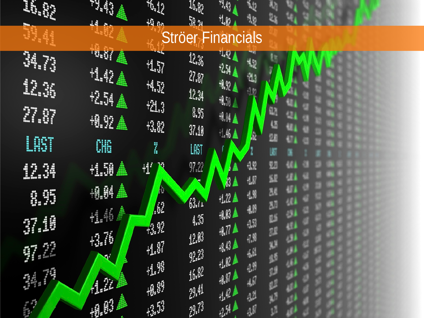| <b>ELECT</b> | <b>Altra Section</b><br>14 5   | 40 <sub>12</sub><br>40 m       | $\mathfrak{u}_{\ell}$<br>$\mathbb{R}^{n}$ | "4]<br>'lø      | ₩                                 |   |  |  |  |
|--------------|--------------------------------|--------------------------------|-------------------------------------------|-----------------|-----------------------------------|---|--|--|--|
| <b>AU.44</b> |                                |                                | <b>Ströer Financials</b>                  |                 |                                   |   |  |  |  |
| 34.73        | <b>GEORGE</b>                  | <b>157</b>                     | $2x_6$                                    | 42 A<br>$25\pm$ | 恆                                 |   |  |  |  |
| 12.as        | $4.42 \triangle$<br><b>相对直</b> | $H_{\rm M}$                    | $\eta_{\text{M}}$<br>12.34                | #92▲            | -43                               |   |  |  |  |
| 27.87        | 18.92 盒                        | $42.3$<br>R                    | 3.5                                       | 脚直<br>地头鱼       |                                   |   |  |  |  |
| LEST         | CHE                            | <b>V</b>                       | $\eta_{.0}$<br>LAST                       | 仙人              | Ą                                 |   |  |  |  |
| 12.34        | $+1.58 \triangleq$             | 70<br>ť                        | $\eta_{12}$                               |                 | 42<br>$+1$                        | 甄 |  |  |  |
| 8.55         | 粗鲜盒                            | <b>A</b><br><b>AR</b>          | M.                                        | ⁄ ≜<br>124      | 植蟹                                | 朤 |  |  |  |
| 37.10        | HAGA.                          | 49                             | 4.35                                      | 40 A<br>$47$ Å  | 場節<br>43                          |   |  |  |  |
| TE           | $+3.76$                        | $\oplus \overline{\mathbb{N}}$ | 128<br>$\mathcal{P}^{\mathcal{B}}$        | ه ان            | $\eta^{\prime\prime}_{\mu}$<br>hÁ | 盟 |  |  |  |
| 1            |                                | $H^{\mathbb{R}}$               | 16.02                                     | HNA<br>180      | -27                               |   |  |  |  |
|              | 相關                             | +8.89<br>$+3.53$               | Ą<br>27                                   | 山北<br>温         | $\mathcal{G}^{\sharp}$            |   |  |  |  |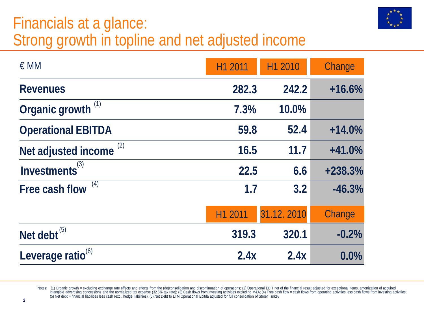### Financials at a glance: Strong growth in topline and net adjusted income

| $\in$ MM                      | H1 2011 | H1 2010    | Change    |  |
|-------------------------------|---------|------------|-----------|--|
| <b>Revenues</b>               | 282.3   | 242.2      | $+16.6%$  |  |
| Organic growth <sup>(1)</sup> | 7.3%    | 10.0%      |           |  |
| <b>Operational EBITDA</b>     | 59.8    | 52.4       | $+14.0%$  |  |
| (2)<br>Net adjusted income    | 16.5    | 11.7       | $+41.0%$  |  |
| Investments <sup>(3)</sup>    | 22.5    | 6.6        | $+238.3%$ |  |
| (4)<br>Free cash flow         | 1.7     | 3.2        | $-46.3%$  |  |
|                               | H1 2011 | 31.12.2010 | Change    |  |
| Net debt $^{(5)}$             | 319.3   | 320.1      | $-0.2%$   |  |
| Leverage ratio <sup>(6)</sup> | 2.4x    | 2.4x       | 0.0%      |  |

Notes: (1) Organic growth = excluding exchange rate effects and effects from the (de)consolidation and discontinuation of operations; (2) Operational EBIT net of the financial result adjusted for exceptional items, amortiz intangible advertising concessions and the normalized tax expense (32.5% tax rate); (3) Cash flows from investing activities excluding M&A; (4) Free cash flows from operating activities less cash flows from investing activ (5) Net debt = financial liabilities less cash (excl. hedge liabilities), (6) Net Debt to LTM Operational Ebitda adjusted for full consolidation of Ströer Turkey

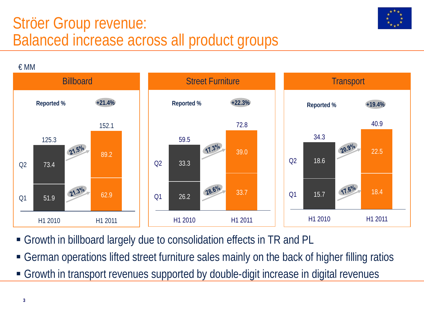#### Ströer Group revenue: Balanced increase across all product groups



€ MM Billboard **Street Furniture** Transport **Street Furniture** Transport **Reported % +21.4% Reported % +22.3% Reported % +19.4%** 40.9 72.8 152.1 34.3 59.5 125.3 17.3% 20.9% 21.5% 22.5 39.0 89.2  $O<sub>2</sub>$ 18.6  $O<sub>2</sub>$ 33.3  $Q<sub>2</sub>$ 73.4 28.6% 17.6%  $21.3^{\circ}$ lo 33.7 18.4 62.9  $O<sub>1</sub>$ 15.7Q1 26.2 51.9 Q1 H1 2010 H1 2011 H1 2010 H1 2011 H1 2010 H1 2011

- Growth in billboard largely due to consolidation effects in TR and PL
- German operations lifted street furniture sales mainly on the back of higher filling ratios
- Growth in transport revenues supported by double-digit increase in digital revenues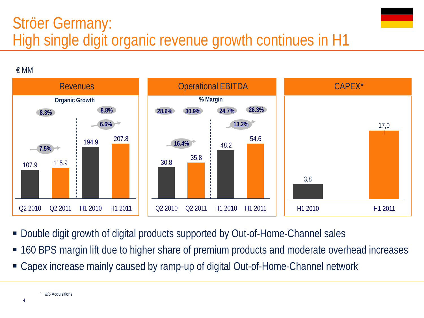## Ströer Germany: High single digit organic revenue growth continues in H1





- Double digit growth of digital products supported by Out-of-Home-Channel sales
- 160 BPS margin lift due to higher share of premium products and moderate overhead increases
- Capex increase mainly caused by ramp-up of digital Out-of-Home-Channel network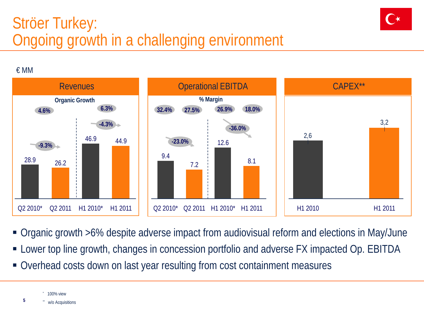## Ströer Turkey: Ongoing growth in a challenging environment



€ MM



- Organic growth >6% despite adverse impact from audiovisual reform and elections in May/June
- **EX** Lower top line growth, changes in concession portfolio and adverse FX impacted Op. EBITDA
- Overhead costs down on last year resulting from cost containment measures

100% view w/o Acquisitions

**5**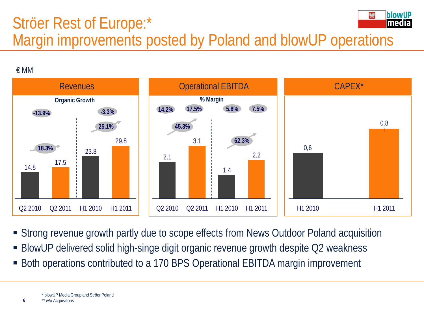#### **IblowIIP** Ströer Rest of Europe:\* lmedia Margin improvements posted by Poland and blowUP operations

€ MM



- Strong revenue growth partly due to scope effects from News Outdoor Poland acquisition
- BlowUP delivered solid high-singe digit organic revenue growth despite Q2 weakness
- Both operations contributed to a 170 BPS Operational EBITDA margin improvement

**6**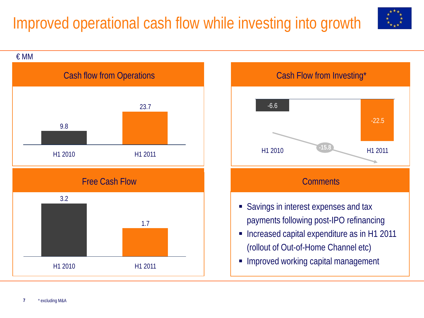# Improved operational cash flow while investing into growth







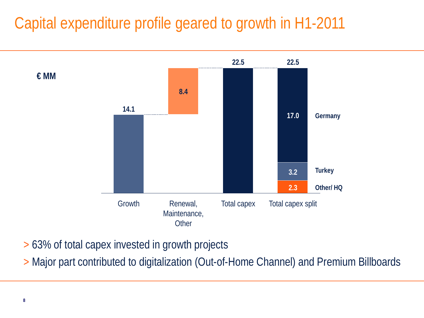## Capital expenditure profile geared to growth in H1-2011



> 63% of total capex invested in growth projects

> Major part contributed to digitalization (Out-of-Home Channel) and Premium Billboards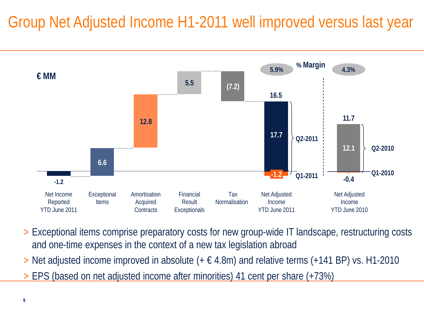# Group Net Adjusted Income H1-2011 well improved versus last year



- > Exceptional items comprise preparatory costs for new group-wide IT landscape, restructuring costs and one-time expenses in the context of a new tax legislation abroad
- $>$  Net adjusted income improved in absolute ( $+ \in 4.8$ m) and relative terms ( $+141$  BP) vs. H1-2010
- > EPS (based on net adjusted income after minorities) 41 cent per share (+73%)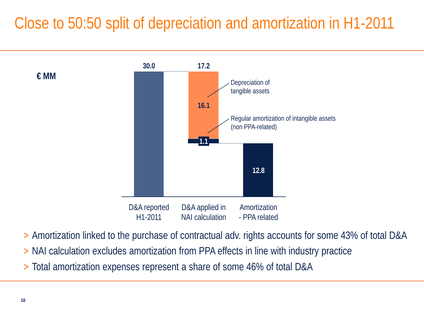## Close to 50:50 split of depreciation and amortization in H1-2011



> Amortization linked to the purchase of contractual adv. rights accounts for some 43% of total D&A

- > NAI calculation excludes amortization from PPA effects in line with industry practice
- > Total amortization expenses represent a share of some 46% of total D&A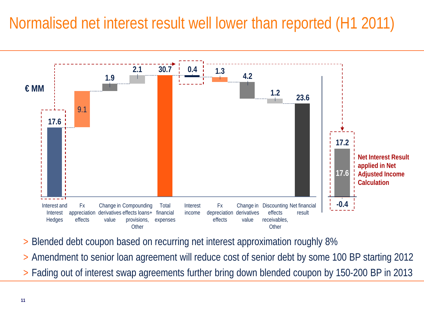### Normalised net interest result well lower than reported (H1 2011)



- > Blended debt coupon based on recurring net interest approximation roughly 8%
- > Amendment to senior loan agreement will reduce cost of senior debt by some 100 BP starting 2012
- > Fading out of interest swap agreements further bring down blended coupon by 150-200 BP in 2013